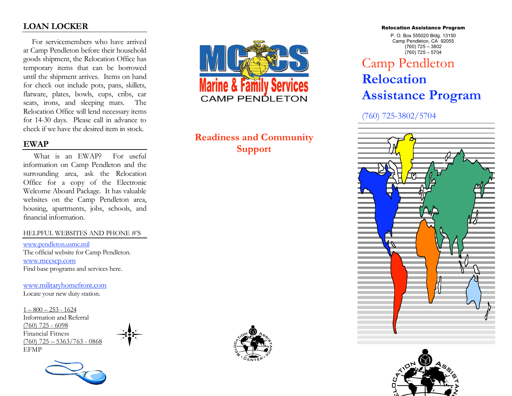## **LOAN LOCKER**

 For servicemembers who have arrived at Camp Pendleton before their household goods shipment, the Relocation Office has temporary items that can be borrowed until the shipment arrives. Items on hand for check out include pots, pans, skillets, flatware, plates, bowls, cups, cribs, car seats, irons, and sleeping mats. The Relocation Office will lend necessary items for 14-30 days. Please call in advance to check if we have the desired item in stock.

### **EWAP**

What is an EWAP? For useful information on Camp Pendleton and the surrounding area, ask the Relocation Office for a copy of the Electronic Welcome Aboard Package. It has valuable websites on the Camp Pendleton area, housing, apartments, jobs, schools, and financial information.

### HELPFUL WEBSITES AND PHONE #'S

www.pendleton.usmc.mil The official website for Camp Pendleton. www.mccscp.com Find base programs and services here.

www.militaryhomefront.com Locate your new duty station.

 $1 - 800 - 253 - 1624$ Information and Referral (760) 725 - 6098 Financial Fitness  $(760)$  725 – 5363/763 - 0868 EFMP





## **Readiness and Community Support**



#### Relocation Assistance Program

P. O. Box 555020 Bldg. 13150 Camp Pendleton, CA 92055 (760) 725 – 3802  $(760)$  725 – 5704

# Camp Pendleton **Relocation Assistance Program**

(760) 725-3802/5704